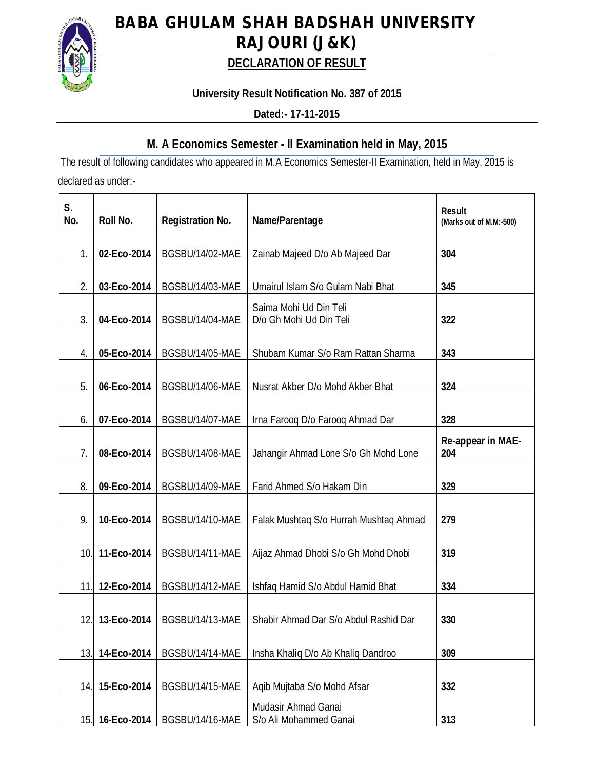

# **BABA GHULAM SHAH BADSHAH UNIVERSITY RAJOURI (J&K)**

## **DECLARATION OF RESULT**

## **University Result Notification No. 387 of 2015**

**Dated:- 17-11-2015**

## **M. A Economics Semester - II Examination held in May, 2015**

The result of following candidates who appeared in M.A Economics Semester-II Examination, held in May, 2015 is declared as under:-

| S.<br>No. | Roll No.    | <b>Registration No.</b> | Name/Parentage                                    | <b>Result</b><br>(Marks out of M.M:-500) |
|-----------|-------------|-------------------------|---------------------------------------------------|------------------------------------------|
|           |             |                         |                                                   |                                          |
| 1.        | 02-Eco-2014 | BGSBU/14/02-MAE         | Zainab Majeed D/o Ab Majeed Dar                   | 304                                      |
|           |             |                         |                                                   |                                          |
| 2.        | 03-Eco-2014 | BGSBU/14/03-MAE         | Umairul Islam S/o Gulam Nabi Bhat                 | 345                                      |
| 3.        | 04-Eco-2014 | BGSBU/14/04-MAE         | Saima Mohi Ud Din Teli<br>D/o Gh Mohi Ud Din Teli | 322                                      |
|           |             |                         |                                                   |                                          |
| 4.        | 05-Eco-2014 | BGSBU/14/05-MAE         | Shubam Kumar S/o Ram Rattan Sharma                | 343                                      |
| 5.        | 06-Eco-2014 | BGSBU/14/06-MAE         | Nusrat Akber D/o Mohd Akber Bhat                  | 324                                      |
|           |             |                         |                                                   |                                          |
| 6.        | 07-Eco-2014 | BGSBU/14/07-MAE         | Irna Farooq D/o Farooq Ahmad Dar                  | 328                                      |
| 7.        | 08-Eco-2014 | BGSBU/14/08-MAE         | Jahangir Ahmad Lone S/o Gh Mohd Lone              | Re-appear in MAE-<br>204                 |
| 8.        | 09-Eco-2014 | BGSBU/14/09-MAE         | Farid Ahmed S/o Hakam Din                         | 329                                      |
| 9.        | 10-Eco-2014 | BGSBU/14/10-MAE         | Falak Mushtaq S/o Hurrah Mushtaq Ahmad            | 279                                      |
| 10.       | 11-Eco-2014 | BGSBU/14/11-MAE         | Aijaz Ahmad Dhobi S/o Gh Mohd Dhobi               | 319                                      |
| 11.       | 12-Eco-2014 | BGSBU/14/12-MAE         | Ishfaq Hamid S/o Abdul Hamid Bhat                 | 334                                      |
| 12.       | 13-Eco-2014 | BGSBU/14/13-MAE         | Shabir Ahmad Dar S/o Abdul Rashid Dar             | 330                                      |
| 13.       | 14-Eco-2014 | BGSBU/14/14-MAE         | Insha Khaliq D/o Ab Khaliq Dandroo                | 309                                      |
| 14        | 15-Eco-2014 | BGSBU/14/15-MAE         | Aqib Mujtaba S/o Mohd Afsar                       | 332                                      |
| 15.       | 16-Eco-2014 | BGSBU/14/16-MAE         | Mudasir Ahmad Ganai<br>S/o Ali Mohammed Ganai     | 313                                      |